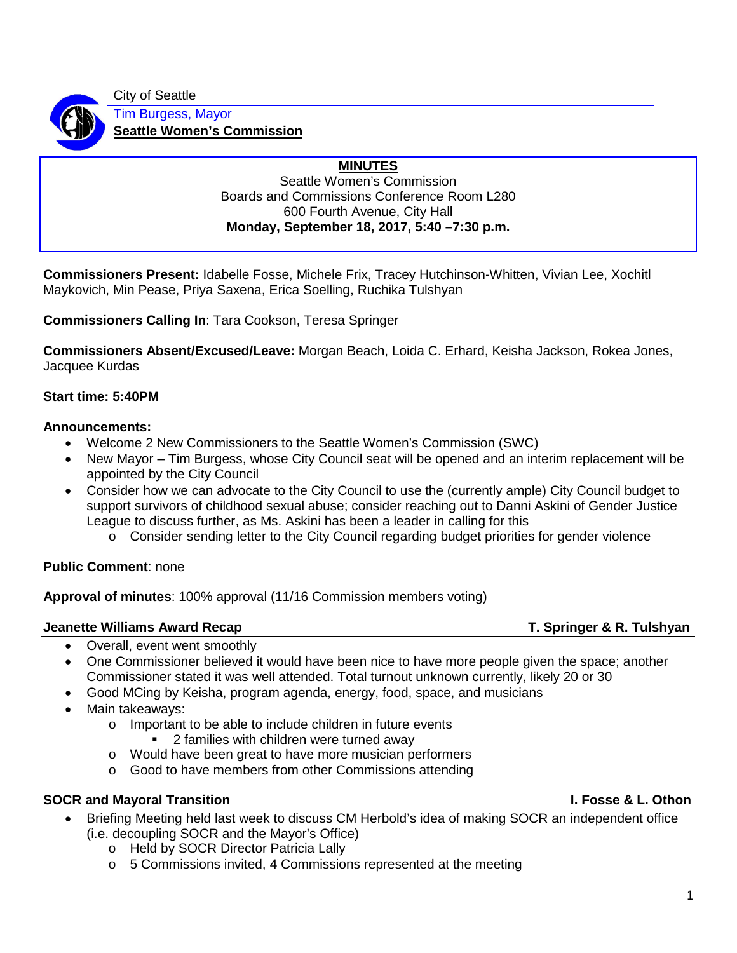City of Seattle Tim Burgess, Mayor **Seattle Women's Commission**

### **MINUTES**

Seattle Women's Commission Boards and Commissions Conference Room L280 600 Fourth Avenue, City Hall **Monday, September 18, 2017, 5:40 –7:30 p.m.**

**Commissioners Present:** Idabelle Fosse, Michele Frix, Tracey Hutchinson-Whitten, Vivian Lee, Xochitl Maykovich, Min Pease, Priya Saxena, Erica Soelling, Ruchika Tulshyan

**Commissioners Calling In**: Tara Cookson, Teresa Springer

**Commissioners Absent/Excused/Leave:** Morgan Beach, Loida C. Erhard, Keisha Jackson, Rokea Jones, Jacquee Kurdas

### **Start time: 5:40PM**

### **Announcements:**

- Welcome 2 New Commissioners to the Seattle Women's Commission (SWC)
- New Mayor Tim Burgess, whose City Council seat will be opened and an interim replacement will be appointed by the City Council
- Consider how we can advocate to the City Council to use the (currently ample) City Council budget to support survivors of childhood sexual abuse; consider reaching out to Danni Askini of Gender Justice League to discuss further, as Ms. Askini has been a leader in calling for this
	- $\overline{\circ}$  Consider sending letter to the City Council regarding budget priorities for gender violence

### **Public Comment**: none

**Approval of minutes**: 100% approval (11/16 Commission members voting)

### **Jeanette Williams Award Recap T. Springer & R. Tulshyan**

- Overall, event went smoothly
- One Commissioner believed it would have been nice to have more people given the space; another Commissioner stated it was well attended. Total turnout unknown currently, likely 20 or 30
- Good MCing by Keisha, program agenda, energy, food, space, and musicians
- Main takeaways:
	- o Important to be able to include children in future events
		- 2 families with children were turned away
	- o Would have been great to have more musician performers
	- o Good to have members from other Commissions attending

### **SOCR and Mayoral Transition I. Fosse & L. Othon**

- Briefing Meeting held last week to discuss CM Herbold's idea of making SOCR an independent office (i.e. decoupling SOCR and the Mayor's Office)
	- o Held by SOCR Director Patricia Lally
	- o 5 Commissions invited, 4 Commissions represented at the meeting